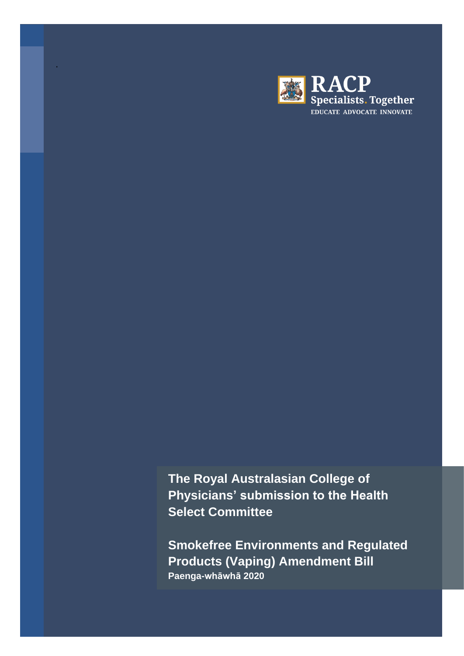

The Royal Australasian College of Physicians' submission to the Health **Select Committee** 

**Smokefree Environments and Regulated Products (Vaping) Amendment Bill** Paenga-whāwhā 2020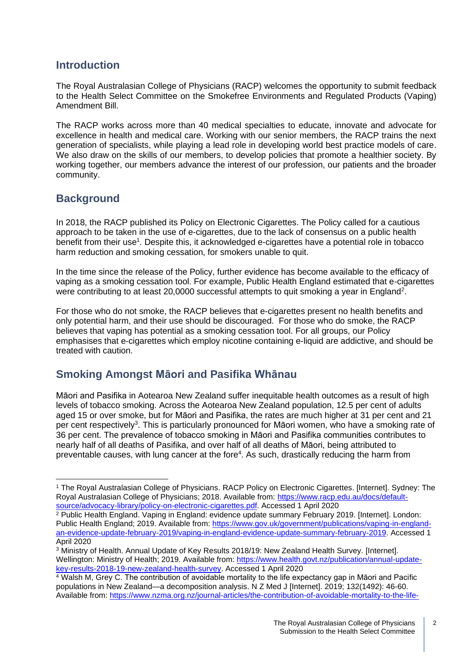### **Introduction**

The Royal Australasian College of Physicians (RACP) welcomes the opportunity to submit feedback to the Health Select Committee on the Smokefree Environments and Regulated Products (Vaping) Amendment Bill.

The RACP works across more than 40 medical specialties to educate, innovate and advocate for excellence in health and medical care. Working with our senior members, the RACP trains the next generation of specialists, while playing a lead role in developing world best practice models of care. We also draw on the skills of our members, to develop policies that promote a healthier society. By working together, our members advance the interest of our profession, our patients and the broader community.

## **Background**

In 2018, the RACP published its Policy on Electronic Cigarettes. The Policy called for a cautious approach to be taken in the use of e-cigarettes, due to the lack of consensus on a public health benefit from their use<sup>1</sup>. Despite this, it acknowledged e-cigarettes have a potential role in tobacco harm reduction and smoking cessation, for smokers unable to quit.

In the time since the release of the Policy, further evidence has become available to the efficacy of vaping as a smoking cessation tool. For example, Public Health England estimated that e-cigarettes were contributing to at least 20,0000 successful attempts to quit smoking a year in England<sup>2</sup>.

For those who do not smoke, the RACP believes that e-cigarettes present no health benefits and only potential harm, and their use should be discouraged. For those who do smoke, the RACP believes that vaping has potential as a smoking cessation tool. For all groups, our Policy emphasises that e-cigarettes which employ nicotine containing e-liquid are addictive, and should be treated with caution.

# **Smoking Amongst Māori and Pasifika Whānau**

Māori and Pasifika in Aotearoa New Zealand suffer inequitable health outcomes as a result of high levels of tobacco smoking. Across the Aotearoa New Zealand population, 12.5 per cent of adults aged 15 or over smoke, but for Māori and Pasifika, the rates are much higher at 31 per cent and 21 per cent respectively<sup>3</sup>. This is particularly pronounced for Māori women, who have a smoking rate of 36 per cent. The prevalence of tobacco smoking in Māori and Pasifika communities contributes to nearly half of all deaths of Pasifika, and over half of all deaths of Māori, being attributed to preventable causes, with lung cancer at the fore<sup>4</sup>. As such, drastically reducing the harm from

<sup>1</sup> The Royal Australasian College of Physicians. RACP Policy on Electronic Cigarettes. [Internet]. Sydney: The Royal Australasian College of Physicians; 2018. Available from: [https://www.racp.edu.au/docs/default](https://www.racp.edu.au/docs/default-source/advocacy-library/policy-on-electronic-cigarettes.pdf)[source/advocacy-library/policy-on-electronic-cigarettes.pdf.](https://www.racp.edu.au/docs/default-source/advocacy-library/policy-on-electronic-cigarettes.pdf) Accessed 1 April 2020

<sup>&</sup>lt;sup>2</sup> Public Health England. Vaping in England: evidence update summary February 2019. [Internet]. London: Public Health England; 2019. Available from: [https://www.gov.uk/government/publications/vaping-in-england](https://www.gov.uk/government/publications/vaping-in-england-an-evidence-update-february-2019/vaping-in-england-evidence-update-summary-february-2019)[an-evidence-update-february-2019/vaping-in-england-evidence-update-summary-february-2019.](https://www.gov.uk/government/publications/vaping-in-england-an-evidence-update-february-2019/vaping-in-england-evidence-update-summary-february-2019) Accessed 1 April 2020

<sup>&</sup>lt;sup>3</sup> Ministry of Health. Annual Update of Key Results 2018/19: New Zealand Health Survey. [Internet]. Wellington: Ministry of Health; 2019. Available from: [https://www.health.govt.nz/publication/annual-update](https://www.health.govt.nz/publication/annual-update-key-results-2018-19-new-zealand-health-survey)[key-results-2018-19-new-zealand-health-survey.](https://www.health.govt.nz/publication/annual-update-key-results-2018-19-new-zealand-health-survey) Accessed 1 April 2020

<sup>4</sup> Walsh M, Grey C. The contribution of avoidable mortality to the life expectancy gap in Māori and Pacific populations in New Zealand—a decomposition analysis. N Z Med J [Internet]. 2019; 132(1492): 46-60. Available from: [https://www.nzma.org.nz/journal-articles/the-contribution-of-avoidable-mortality-to-the-life-](https://www.nzma.org.nz/journal-articles/the-contribution-of-avoidable-mortality-to-the-life-expectancy-gap-in-maori-and-pacific-populations-in-new-zealand-a-decomposition-analysis)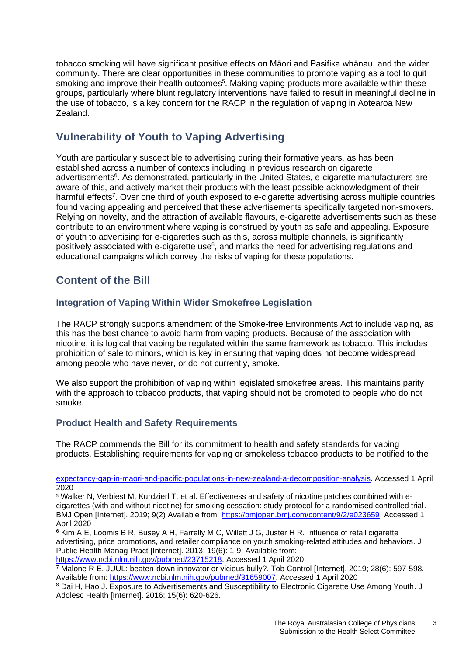tobacco smoking will have significant positive effects on Māori and Pasifika whānau, and the wider community. There are clear opportunities in these communities to promote vaping as a tool to quit smoking and improve their health outcomes<sup>5</sup>. Making vaping products more available within these groups, particularly where blunt regulatory interventions have failed to result in meaningful decline in the use of tobacco, is a key concern for the RACP in the regulation of vaping in Aotearoa New Zealand.

# **Vulnerability of Youth to Vaping Advertising**

Youth are particularly susceptible to advertising during their formative years, as has been established across a number of contexts including in previous research on cigarette advertisements<sup>6</sup>. As demonstrated, particularly in the United States, e-cigarette manufacturers are aware of this, and actively market their products with the least possible acknowledgment of their harmful effects<sup>7</sup>. Over one third of youth exposed to e-cigarette advertising across multiple countries found vaping appealing and perceived that these advertisements specifically targeted non-smokers. Relying on novelty, and the attraction of available flavours, e-cigarette advertisements such as these contribute to an environment where vaping is construed by youth as safe and appealing. Exposure of youth to advertising for e-cigarettes such as this, across multiple channels, is significantly positively associated with e-cigarette use<sup>8</sup>, and marks the need for advertising regulations and educational campaigns which convey the risks of vaping for these populations.

# **Content of the Bill**

### **Integration of Vaping Within Wider Smokefree Legislation**

The RACP strongly supports amendment of the Smoke-free Environments Act to include vaping, as this has the best chance to avoid harm from vaping products. Because of the association with nicotine, it is logical that vaping be regulated within the same framework as tobacco. This includes prohibition of sale to minors, which is key in ensuring that vaping does not become widespread among people who have never, or do not currently, smoke.

We also support the prohibition of vaping within legislated smokefree areas. This maintains parity with the approach to tobacco products, that vaping should not be promoted to people who do not smoke.

### **Product Health and Safety Requirements**

The RACP commends the Bill for its commitment to health and safety standards for vaping products. Establishing requirements for vaping or smokeless tobacco products to be notified to the

[expectancy-gap-in-maori-and-pacific-populations-in-new-zealand-a-decomposition-analysis.](https://www.nzma.org.nz/journal-articles/the-contribution-of-avoidable-mortality-to-the-life-expectancy-gap-in-maori-and-pacific-populations-in-new-zealand-a-decomposition-analysis) Accessed 1 April 2020

<sup>5</sup> Walker N, Verbiest M, Kurdzierl T, et al. Effectiveness and safety of nicotine patches combined with ecigarettes (with and without nicotine) for smoking cessation: study protocol for a randomised controlled trial. BMJ Open [Internet]. 2019; 9(2) Available from: [https://bmjopen.bmj.com/content/9/2/e023659.](https://bmjopen.bmj.com/content/9/2/e023659) Accessed 1 April 2020

<sup>&</sup>lt;sup>6</sup> Kim A E, Loomis B R, Busey A H, Farrelly M C, Willett J G, Juster H R. Influence of retail cigarette advertising, price promotions, and retailer compliance on youth smoking-related attitudes and behaviors. J Public Health Manag Pract [Internet]. 2013; 19(6): 1-9. Available from: [https://www.ncbi.nlm.nih.gov/pubmed/23715218.](https://www.ncbi.nlm.nih.gov/pubmed/23715218) Accessed 1 April 2020

<sup>7</sup> Malone R E. JUUL: beaten-down innovator or vicious bully?. Tob Control [Internet]. 2019; 28(6): 597-598. Available from: [https://www.ncbi.nlm.nih.gov/pubmed/31659007.](https://www.ncbi.nlm.nih.gov/pubmed/31659007) Accessed 1 April 2020

<sup>8</sup> Dai H, Hao J. Exposure to Advertisements and Susceptibility to Electronic Cigarette Use Among Youth. J Adolesc Health [Internet]. 2016; 15(6): 620-626.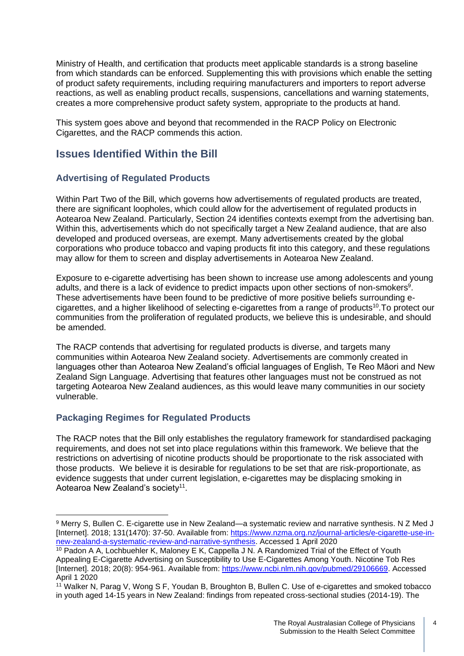Ministry of Health, and certification that products meet applicable standards is a strong baseline from which standards can be enforced. Supplementing this with provisions which enable the setting of product safety requirements, including requiring manufacturers and importers to report adverse reactions, as well as enabling product recalls, suspensions, cancellations and warning statements, creates a more comprehensive product safety system, appropriate to the products at hand.

This system goes above and beyond that recommended in the RACP Policy on Electronic Cigarettes, and the RACP commends this action.

## **Issues Identified Within the Bill**

### **Advertising of Regulated Products**

Within Part Two of the Bill, which governs how advertisements of regulated products are treated, there are significant loopholes, which could allow for the advertisement of regulated products in Aotearoa New Zealand. Particularly, Section 24 identifies contexts exempt from the advertising ban. Within this, advertisements which do not specifically target a New Zealand audience, that are also developed and produced overseas, are exempt. Many advertisements created by the global corporations who produce tobacco and vaping products fit into this category, and these regulations may allow for them to screen and display advertisements in Aotearoa New Zealand.

Exposure to e-cigarette advertising has been shown to increase use among adolescents and young adults, and there is a lack of evidence to predict impacts upon other sections of non-smokers<sup>9</sup>. These advertisements have been found to be predictive of more positive beliefs surrounding ecigarettes, and a higher likelihood of selecting e-cigarettes from a range of products<sup>10</sup>. To protect our communities from the proliferation of regulated products, we believe this is undesirable, and should be amended.

The RACP contends that advertising for regulated products is diverse, and targets many communities within Aotearoa New Zealand society. Advertisements are commonly created in languages other than Aotearoa New Zealand's official languages of English, Te Reo Māori and New Zealand Sign Language. Advertising that features other languages must not be construed as not targeting Aotearoa New Zealand audiences, as this would leave many communities in our society vulnerable.

### **Packaging Regimes for Regulated Products**

The RACP notes that the Bill only establishes the regulatory framework for standardised packaging requirements, and does not set into place regulations within this framework. We believe that the restrictions on advertising of nicotine products should be proportionate to the risk associated with those products. We believe it is desirable for regulations to be set that are risk-proportionate, as evidence suggests that under current legislation, e-cigarettes may be displacing smoking in Aotearoa New Zealand's society<sup>11</sup>.

4

<sup>9</sup> Merry S, Bullen C. E-cigarette use in New Zealand—a systematic review and narrative synthesis. N Z Med J [Internet]. 2018; 131(1470): 37-50. Available from: [https://www.nzma.org.nz/journal-articles/e-cigarette-use-in](https://www.nzma.org.nz/journal-articles/e-cigarette-use-in-new-zealand-a-systematic-review-and-narrative-synthesis)[new-zealand-a-systematic-review-and-narrative-synthesis.](https://www.nzma.org.nz/journal-articles/e-cigarette-use-in-new-zealand-a-systematic-review-and-narrative-synthesis) Accessed 1 April 2020

<sup>&</sup>lt;sup>10</sup> Padon A A, Lochbuehler K, Maloney E K, Cappella J N. A Randomized Trial of the Effect of Youth Appealing E-Cigarette Advertising on Susceptibility to Use E-Cigarettes Among Youth. Nicotine Tob Res [Internet]. 2018; 20(8): 954-961. Available from: [https://www.ncbi.nlm.nih.gov/pubmed/29106669.](https://www.ncbi.nlm.nih.gov/pubmed/29106669) Accessed April 1 2020

<sup>11</sup> Walker N, Parag V, Wong S F, Youdan B, Broughton B, Bullen C. Use of e-cigarettes and smoked tobacco in youth aged 14-15 years in New Zealand: findings from repeated cross-sectional studies (2014-19). The